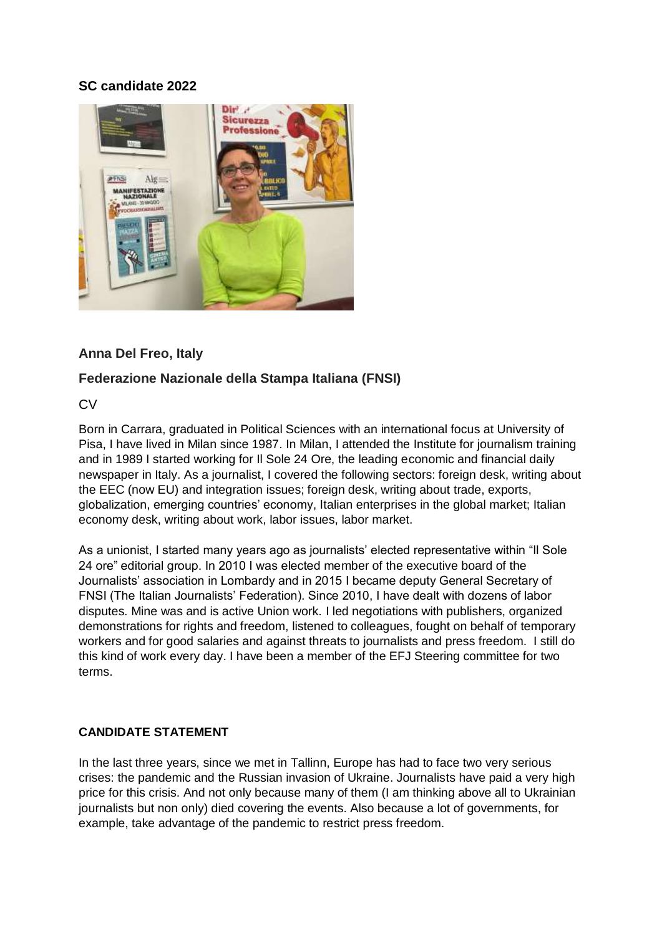## **SC candidate 2022**



## **Anna Del Freo, Italy**

## **Federazione Nazionale della Stampa Italiana (FNSI)**

CV

Born in Carrara, graduated in Political Sciences with an international focus at University of Pisa, I have lived in Milan since 1987. In Milan, I attended the Institute for journalism training and in 1989 I started working for Il Sole 24 Ore, the leading economic and financial daily newspaper in Italy. As a journalist, I covered the following sectors: foreign desk, writing about the EEC (now EU) and integration issues; foreign desk, writing about trade, exports, globalization, emerging countries' economy, Italian enterprises in the global market; Italian economy desk, writing about work, labor issues, labor market.

As a unionist, I started many years ago as journalists' elected representative within "Il Sole 24 ore" editorial group. In 2010 I was elected member of the executive board of the Journalists' association in Lombardy and in 2015 I became deputy General Secretary of FNSI (The Italian Journalists' Federation). Since 2010, I have dealt with dozens of labor disputes. Mine was and is active Union work. I led negotiations with publishers, organized demonstrations for rights and freedom, listened to colleagues, fought on behalf of temporary workers and for good salaries and against threats to journalists and press freedom. I still do this kind of work every day. I have been a member of the EFJ Steering committee for two terms.

## **CANDIDATE STATEMENT**

In the last three years, since we met in Tallinn, Europe has had to face two very serious crises: the pandemic and the Russian invasion of Ukraine. Journalists have paid a very high price for this crisis. And not only because many of them (I am thinking above all to Ukrainian journalists but non only) died covering the events. Also because a lot of governments, for example, take advantage of the pandemic to restrict press freedom.